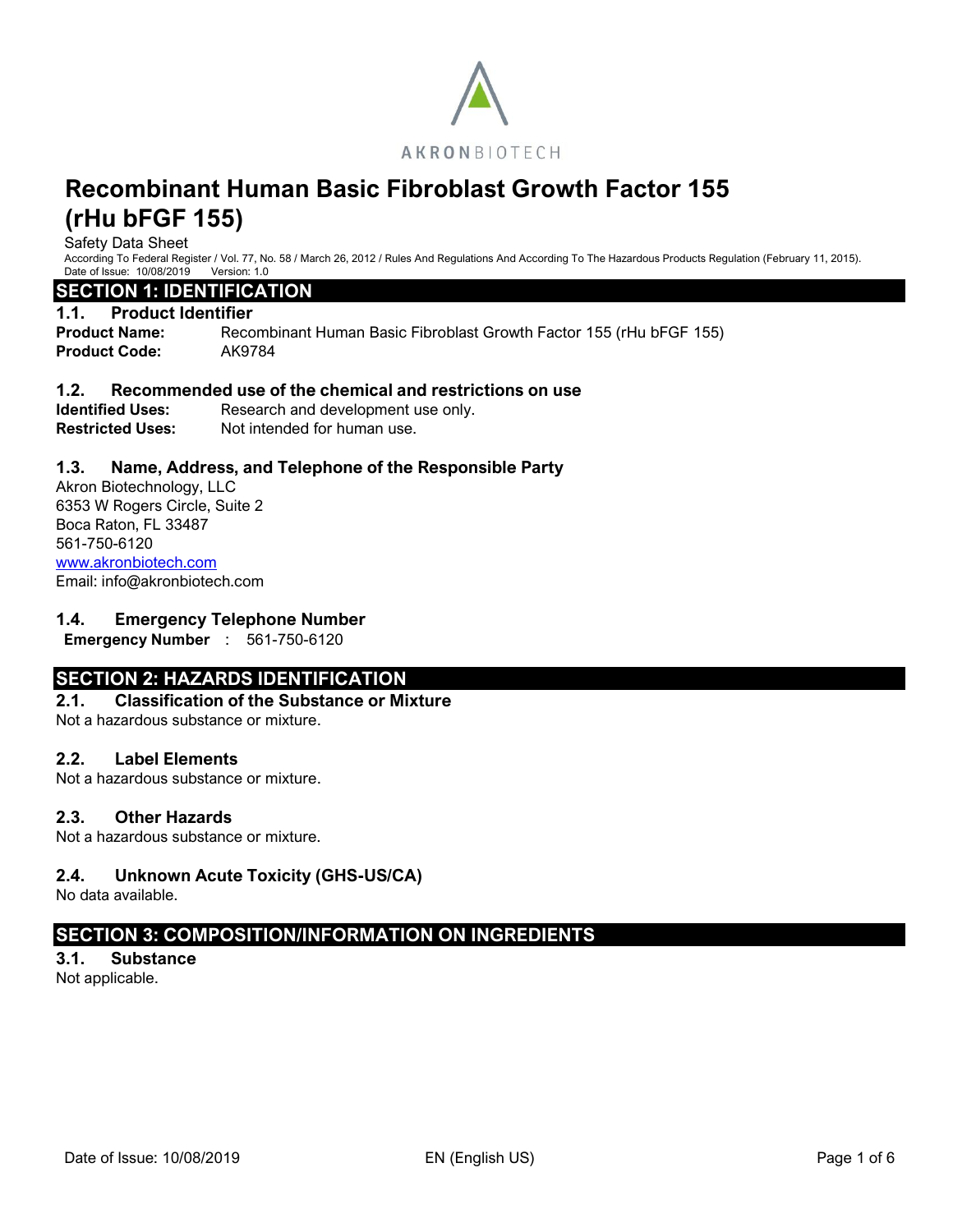

Safety Data Sheet

According To Federal Register / Vol. 77, No. 58 / March 26, 2012 / Rules And Regulations And According To The Hazardous Products Regulation (February 11, 2015). Date of Issue: 10/08/2019 Version: 1.0

# **SECTION 1: IDENTIFICATION**

#### **1.1. Product Identifier**

**Product Name:** Recombinant Human Basic Fibroblast Growth Factor 155 (rHu bFGF 155) **Product Code:** AK9784

#### **1.2. Recommended use of the chemical and restrictions on use**

**Identified Uses:** Research and development use only. **Restricted Uses:** Not intended for human use.

## **1.3. Name, Address, and Telephone of the Responsible Party**

Akron Biotechnology, LLC 6353 W Rogers Circle, Suite 2 Boca Raton, FL 33487 561-750-6120 [www.akronbiotech.com](http://www.akronbiotech.com/%3c/a) Email: info@akronbiotech.com

#### **1.4. Emergency Telephone Number**

**Emergency Number** : 561-750-6120

# **SECTION 2: HAZARDS IDENTIFICATION**

# **2.1. Classification of the Substance or Mixture**

Not a hazardous substance or mixture.

#### **2.2. Label Elements**

Not a hazardous substance or mixture.

#### **2.3. Other Hazards**

Not a hazardous substance or mixture.

## **2.4. Unknown Acute Toxicity (GHS-US/CA)**

No data available.

# **SECTION 3: COMPOSITION/INFORMATION ON INGREDIENTS**

# **3.1. Substance**

Not applicable.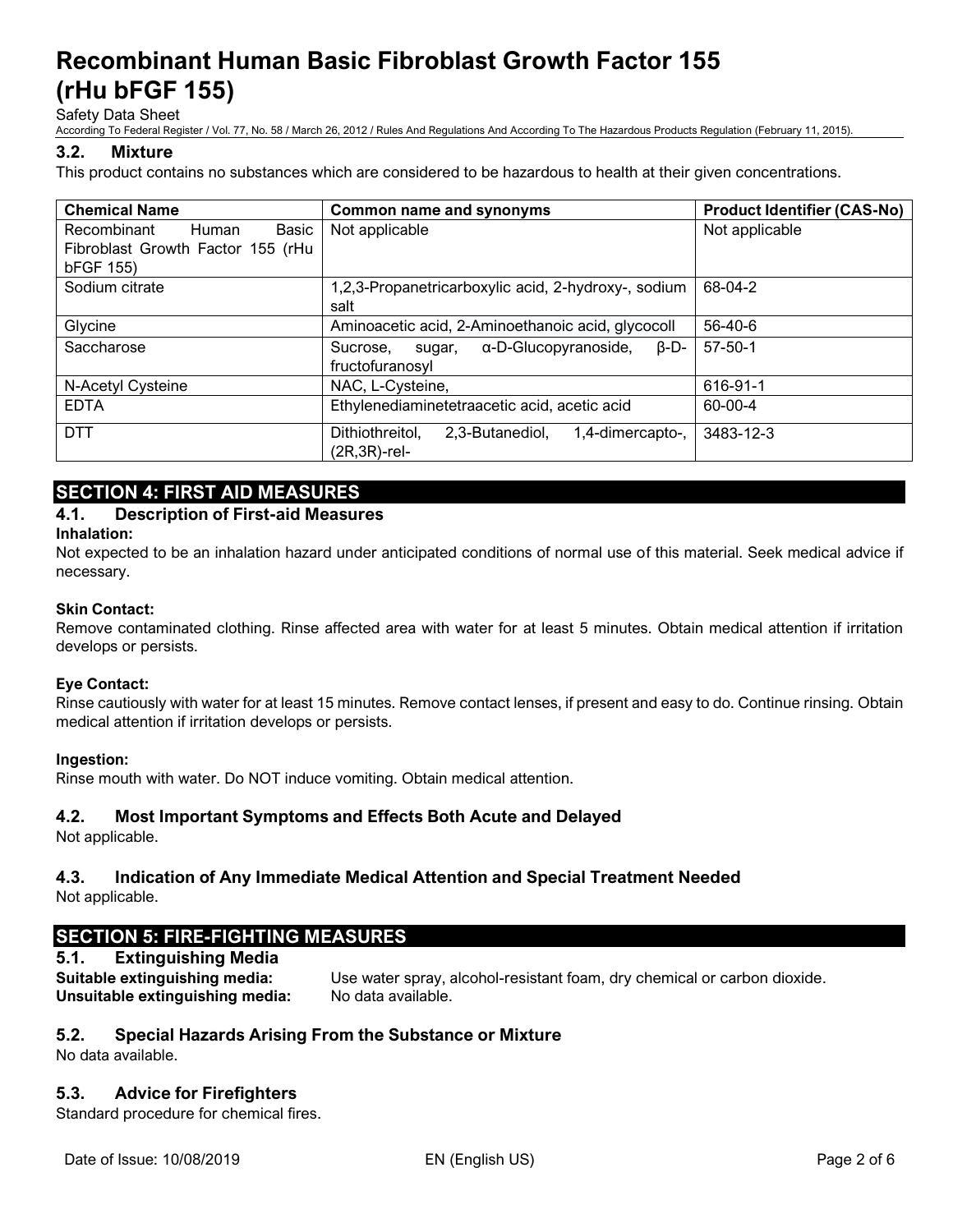Safety Data Sheet

According To Federal Register / Vol. 77, No. 58 / March 26, 2012 / Rules And Regulations And According To The Hazardous Products Regulation (February 11, 2015).

## **3.2. Mixture**

This product contains no substances which are considered to be hazardous to health at their given concentrations.

| <b>Chemical Name</b>              | <b>Common name and synonyms</b>                        | <b>Product Identifier (CAS-No)</b> |
|-----------------------------------|--------------------------------------------------------|------------------------------------|
| Basic<br>Recombinant<br>Human     | Not applicable                                         | Not applicable                     |
| Fibroblast Growth Factor 155 (rHu |                                                        |                                    |
| bFGF 155)                         |                                                        |                                    |
| Sodium citrate                    | 1,2,3-Propanetricarboxylic acid, 2-hydroxy-, sodium    | 68-04-2                            |
|                                   | salt                                                   |                                    |
| Glycine                           | Aminoacetic acid, 2-Aminoethanoic acid, glycocoll      | 56-40-6                            |
| Saccharose                        | α-D-Glucopyranoside,<br>B-D-<br>Sucrose.<br>suqar,     | $57 - 50 - 1$                      |
|                                   | fructofuranosyl                                        |                                    |
| N-Acetyl Cysteine                 | NAC, L-Cysteine,                                       | 616-91-1                           |
| <b>EDTA</b>                       | Ethylenediaminetetraacetic acid, acetic acid           | 60-00-4                            |
| <b>DTT</b>                        | Dithiothreitol,<br>2,3-Butanediol,<br>1,4-dimercapto-, | 3483-12-3                          |
|                                   | $(2R, 3R)$ -rel-                                       |                                    |

# **SECTION 4: FIRST AID MEASURES**

## **4.1. Description of First-aid Measures**

#### **Inhalation:**

Not expected to be an inhalation hazard under anticipated conditions of normal use of this material. Seek medical advice if necessary.

#### **Skin Contact:**

Remove contaminated clothing. Rinse affected area with water for at least 5 minutes. Obtain medical attention if irritation develops or persists.

## **Eye Contact:**

Rinse cautiously with water for at least 15 minutes. Remove contact lenses, if present and easy to do. Continue rinsing. Obtain medical attention if irritation develops or persists.

## **Ingestion:**

Rinse mouth with water. Do NOT induce vomiting. Obtain medical attention.

## **4.2. Most Important Symptoms and Effects Both Acute and Delayed**

Not applicable.

# **4.3. Indication of Any Immediate Medical Attention and Special Treatment Needed**

Not applicable.

# **SECTION 5: FIRE-FIGHTING MEASURES**

## **5.1. Extinguishing Media**

**Unsuitable extinguishing media:** No data available.

**Suitable extinguishing media:** Use water spray, alcohol-resistant foam, dry chemical or carbon dioxide.

## **5.2. Special Hazards Arising From the Substance or Mixture**

No data available.

## **5.3. Advice for Firefighters**

Standard procedure for chemical fires.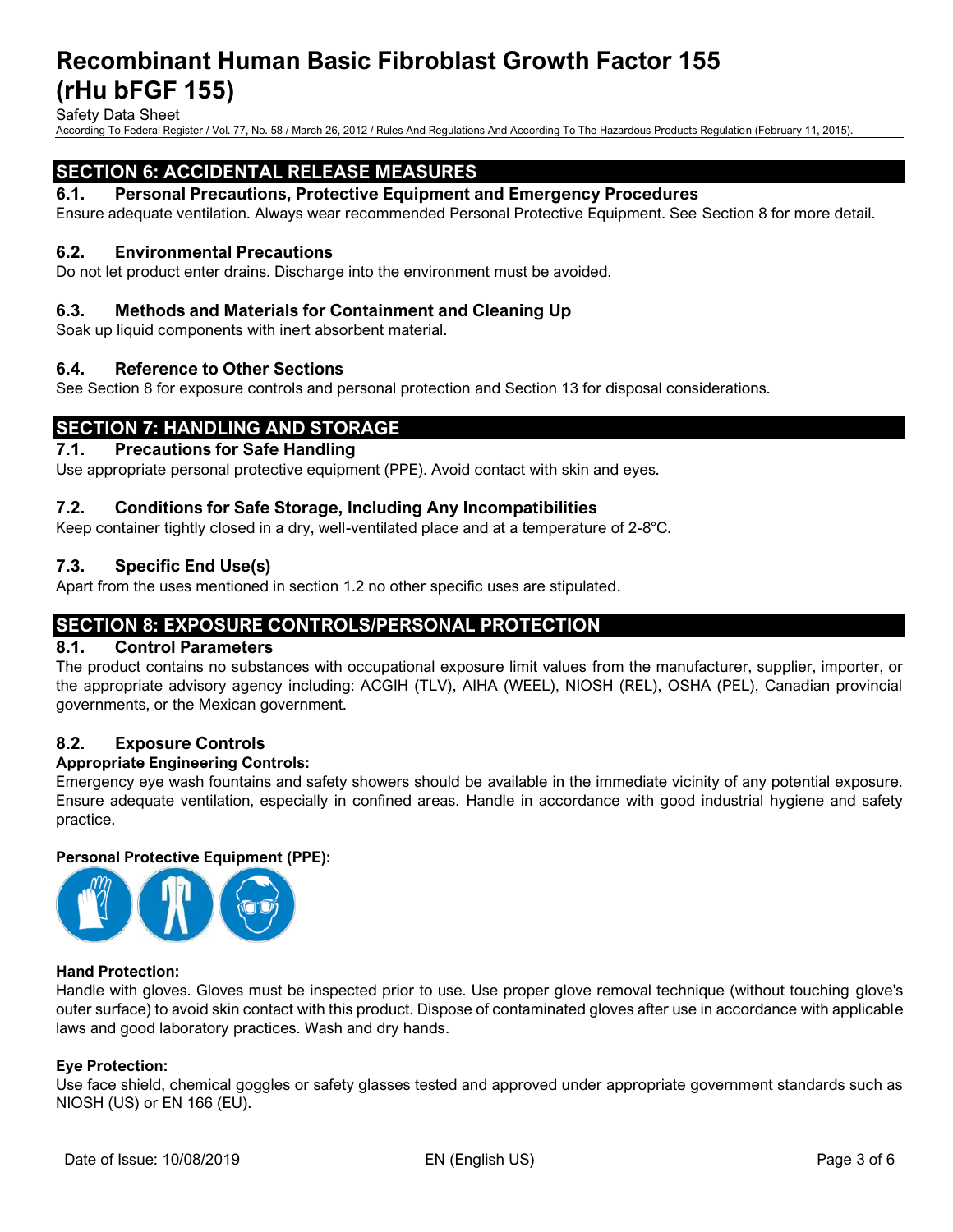Safety Data Sheet

According To Federal Register / Vol. 77, No. 58 / March 26, 2012 / Rules And Regulations And According To The Hazardous Products Regulation (February 11, 2015).

# **SECTION 6: ACCIDENTAL RELEASE MEASURES**

#### **6.1. Personal Precautions, Protective Equipment and Emergency Procedures**

Ensure adequate ventilation. Always wear recommended Personal Protective Equipment. See Section 8 for more detail.

#### **6.2. Environmental Precautions**

Do not let product enter drains. Discharge into the environment must be avoided.

#### **6.3. Methods and Materials for Containment and Cleaning Up**

Soak up liquid components with inert absorbent material.

#### **6.4. Reference to Other Sections**

See Section 8 for exposure controls and personal protection and Section 13 for disposal considerations.

# **SECTION 7: HANDLING AND STORAGE**

#### **7.1. Precautions for Safe Handling**

Use appropriate personal protective equipment (PPE). Avoid contact with skin and eyes.

## **7.2. Conditions for Safe Storage, Including Any Incompatibilities**

Keep container tightly closed in a dry, well-ventilated place and at a temperature of 2-8°C.

#### **7.3. Specific End Use(s)**

Apart from the uses mentioned in section 1.2 no other specific uses are stipulated.

# **SECTION 8: EXPOSURE CONTROLS/PERSONAL PROTECTION**

#### **8.1. Control Parameters**

The product contains no substances with occupational exposure limit values from the manufacturer, supplier, importer, or the appropriate advisory agency including: ACGIH (TLV), AIHA (WEEL), NIOSH (REL), OSHA (PEL), Canadian provincial governments, or the Mexican government.

#### **8.2. Exposure Controls**

#### **Appropriate Engineering Controls:**

Emergency eye wash fountains and safety showers should be available in the immediate vicinity of any potential exposure. Ensure adequate ventilation, especially in confined areas. Handle in accordance with good industrial hygiene and safety practice.

#### **Personal Protective Equipment (PPE):**



#### **Hand Protection:**

Handle with gloves. Gloves must be inspected prior to use. Use proper glove removal technique (without touching glove's outer surface) to avoid skin contact with this product. Dispose of contaminated gloves after use in accordance with applicable laws and good laboratory practices. Wash and dry hands.

#### **Eye Protection:**

Use face shield, chemical goggles or safety glasses tested and approved under appropriate government standards such as NIOSH (US) or EN 166 (EU).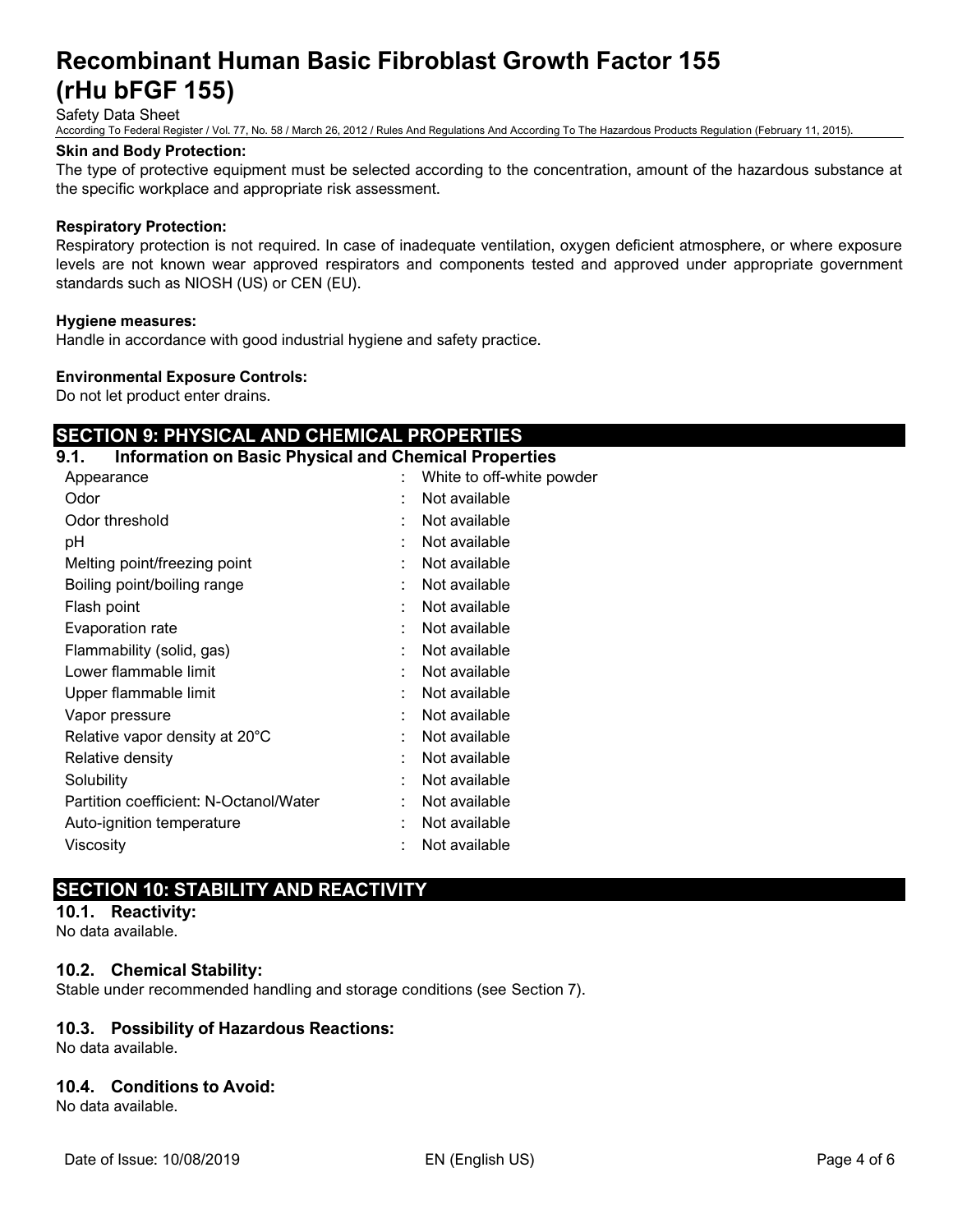Safety Data Sheet

According To Federal Register / Vol. 77, No. 58 / March 26, 2012 / Rules And Regulations And According To The Hazardous Products Regulation (February 11, 2015).

#### **Skin and Body Protection:**

The type of protective equipment must be selected according to the concentration, amount of the hazardous substance at the specific workplace and appropriate risk assessment.

#### **Respiratory Protection:**

Respiratory protection is not required. In case of inadequate ventilation, oxygen deficient atmosphere, or where exposure levels are not known wear approved respirators and components tested and approved under appropriate government standards such as NIOSH (US) or CEN (EU).

#### **Hygiene measures:**

Handle in accordance with good industrial hygiene and safety practice.

#### **Environmental Exposure Controls:**

Do not let product enter drains.

# **SECTION 9: PHYSICAL AND CHEMICAL PROPERTIES**

# **9.1. Information on Basic Physical and Chemical Properties**

| Appearance                             |   | White to off-white powder |
|----------------------------------------|---|---------------------------|
| Odor                                   | ٠ | Not available             |
| Odor threshold                         |   | Not available             |
| рH                                     |   | Not available             |
| Melting point/freezing point           |   | Not available             |
| Boiling point/boiling range            |   | Not available             |
| Flash point                            |   | Not available             |
| Evaporation rate                       | ٠ | Not available             |
| Flammability (solid, gas)              | ٠ | Not available             |
| Lower flammable limit                  | ٠ | Not available             |
| Upper flammable limit                  | ٠ | Not available             |
| Vapor pressure                         |   | Not available             |
| Relative vapor density at 20°C         |   | Not available             |
| Relative density                       |   | Not available             |
| Solubility                             |   | Not available             |
| Partition coefficient: N-Octanol/Water |   | Not available             |
| Auto-ignition temperature              | ÷ | Not available             |
| Viscosity                              |   | Not available             |
|                                        |   |                           |

# **SECTION 10: STABILITY AND REACTIVITY**

# **10.1. Reactivity:**

No data available.

## **10.2. Chemical Stability:**

Stable under recommended handling and storage conditions (see Section 7).

## **10.3. Possibility of Hazardous Reactions:**

No data available.

# **10.4. Conditions to Avoid:**

No data available.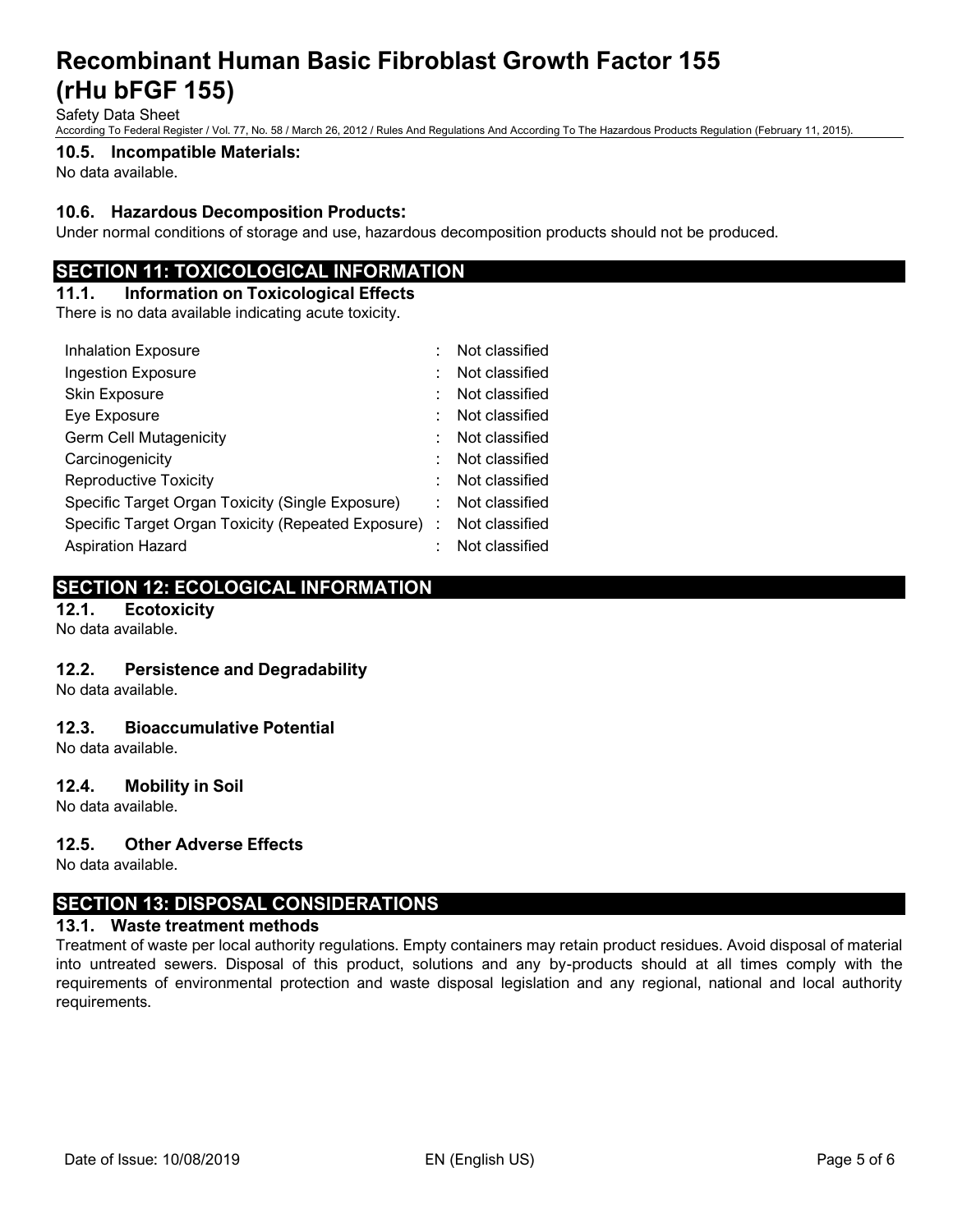Safety Data Sheet

According To Federal Register / Vol. 77, No. 58 / March 26, 2012 / Rules And Regulations And According To The Hazardous Products Regulation (February 11, 2015).

#### **10.5. Incompatible Materials:**

No data available.

## **10.6. Hazardous Decomposition Products:**

Under normal conditions of storage and use, hazardous decomposition products should not be produced.

# **SECTION 11: TOXICOLOGICAL INFORMATION**

# **11.1. Information on Toxicological Effects**

There is no data available indicating acute toxicity.

| <b>Inhalation Exposure</b>                           |  | Not classified |
|------------------------------------------------------|--|----------------|
| <b>Ingestion Exposure</b>                            |  | Not classified |
| Skin Exposure                                        |  | Not classified |
| Eye Exposure                                         |  | Not classified |
| <b>Germ Cell Mutagenicity</b>                        |  | Not classified |
| Carcinogenicity                                      |  | Not classified |
| <b>Reproductive Toxicity</b>                         |  | Not classified |
| Specific Target Organ Toxicity (Single Exposure)     |  | Not classified |
| Specific Target Organ Toxicity (Repeated Exposure) : |  | Not classified |
| <b>Aspiration Hazard</b>                             |  | Not classified |

# **SECTION 12: ECOLOGICAL INFORMATION**

**12.1. Ecotoxicity**

No data available.

## **12.2. Persistence and Degradability**

No data available.

## **12.3. Bioaccumulative Potential**

No data available.

#### **12.4. Mobility in Soil**

No data available.

#### **12.5. Other Adverse Effects**

No data available.

# **SECTION 13: DISPOSAL CONSIDERATIONS**

#### **13.1. Waste treatment methods**

Treatment of waste per local authority regulations. Empty containers may retain product residues. Avoid disposal of material into untreated sewers. Disposal of this product, solutions and any by-products should at all times comply with the requirements of environmental protection and waste disposal legislation and any regional, national and local authority requirements.